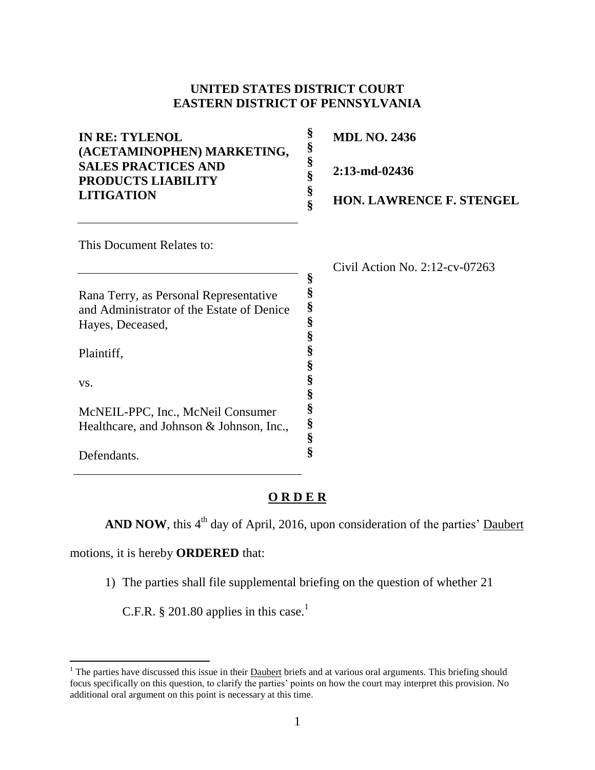## **UNITED STATES DISTRICT COURT EASTERN DISTRICT OF PENNSYLVANIA**

**§** 

| <b>MDL NO. 2436</b><br>$2:13$ -md-02436<br><b>HON. LAWRENCE F. STENGEL</b> |
|----------------------------------------------------------------------------|
| Civil Action No. $2:12$ -cv-07263                                          |
|                                                                            |

**§ § § § § § § § § § § §**

Rana Terry, as Personal Representative and Administrator of the Estate of Denice Hayes, Deceased,

Plaintiff,

vs.

 $\overline{\phantom{a}}$ 

McNEIL-PPC, Inc., McNeil Consumer Healthcare, and Johnson & Johnson, Inc.,

Defendants.

## **O R D E R**

**AND NOW**, this  $4<sup>th</sup>$  day of April, 2016, upon consideration of the parties' Daubert

motions, it is hereby **ORDERED** that:

1) The parties shall file supplemental briefing on the question of whether 21

C.F.R.  $\S$  201.80 applies in this case.<sup>1</sup>

<sup>&</sup>lt;sup>1</sup> The parties have discussed this issue in their **Daubert** briefs and at various oral arguments. This briefing should focus specifically on this question, to clarify the parties' points on how the court may interpret this provision. No additional oral argument on this point is necessary at this time.